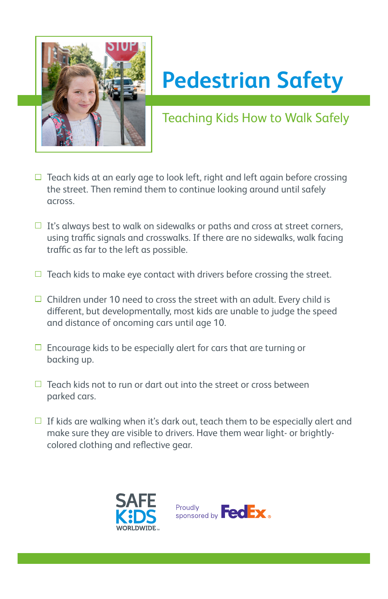

## **Pedestrian Safety**

Teaching Kids How to Walk Safely

- $\Box$  Teach kids at an early age to look left, right and left again before crossing the street. Then remind them to continue looking around until safely across.
- $\Box$  It's always best to walk on sidewalks or paths and cross at street corners, using traffic signals and crosswalks. If there are no sidewalks, walk facing traffic as far to the left as possible.
- $\Box$  Teach kids to make eye contact with drivers before crossing the street.
- $\Box$  Children under 10 need to cross the street with an adult. Every child is different, but developmentally, most kids are unable to judge the speed and distance of oncoming cars until age 10.
- $\Box$  Encourage kids to be especially alert for cars that are turning or backing up.
- $\Box$  Teach kids not to run or dart out into the street or cross between parked cars.
- $\Box$  If kids are walking when it's dark out, teach them to be especially alert and make sure they are visible to drivers. Have them wear light- or brightlycolored clothing and reflective gear.